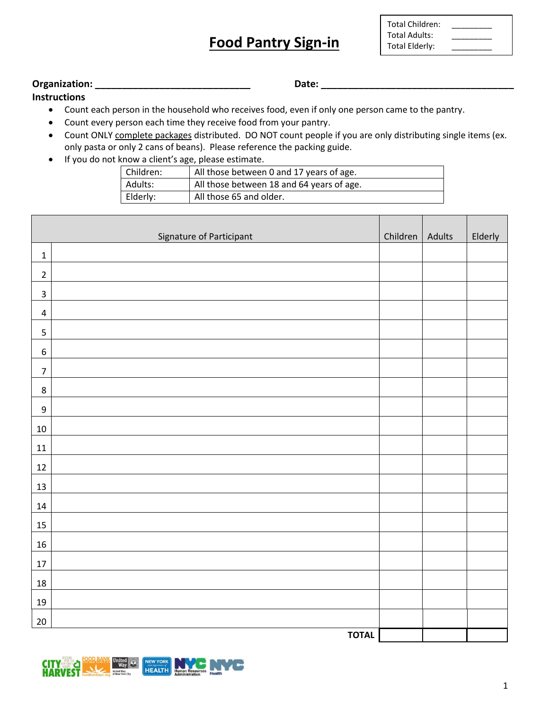## **Food Pantry Sign-in**

| <b>Total Children:</b> |  |
|------------------------|--|
| Total Adults:          |  |
| <b>Total Elderly:</b>  |  |

**The Company** 

**Organization: \_\_\_\_\_\_\_\_\_\_\_\_\_\_\_\_\_\_\_\_\_\_\_\_\_\_\_\_\_ Date: \_\_\_\_\_\_\_\_\_\_\_\_\_\_\_\_\_\_\_\_\_\_\_\_\_\_\_\_\_\_\_\_\_\_\_\_**

**Instructions**

- Count each person in the household who receives food, even if only one person came to the pantry.
- Count every person each time they receive food from your pantry.
- Count ONLY complete packages distributed. DO NOT count people if you are only distributing single items (ex. only pasta or only 2 cans of beans). Please reference the packing guide.
- If you do not know a client's age, please estimate.

| Children: | All those between 0 and 17 years of age.  |
|-----------|-------------------------------------------|
| Adults:   | All those between 18 and 64 years of age. |
| Elderly:  | All those 65 and older.                   |

|                  | Signature of Participant | Children   Adults | Elderly |
|------------------|--------------------------|-------------------|---------|
| $\mathbf 1$      |                          |                   |         |
| $\overline{2}$   |                          |                   |         |
| $\mathbf{3}$     |                          |                   |         |
| $\overline{a}$   |                          |                   |         |
| 5                |                          |                   |         |
| $\boldsymbol{6}$ |                          |                   |         |
| $\boldsymbol{7}$ |                          |                   |         |
| $\,8\,$          |                          |                   |         |
| $\boldsymbol{9}$ |                          |                   |         |
| $10\,$           |                          |                   |         |
| $11\,$           |                          |                   |         |
| $12\,$           |                          |                   |         |
| $13\,$           |                          |                   |         |
| $14\,$           |                          |                   |         |
| 15               |                          |                   |         |
| $16\,$           |                          |                   |         |
| $17\,$           |                          |                   |         |
| 18               |                          |                   |         |
| $19\,$           |                          |                   |         |
| $20\,$           |                          |                   |         |
|                  | <b>TOTAL</b>             |                   |         |